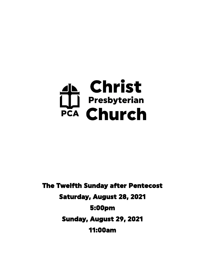# **AL Christ<br>AL Presbyterian<br>PCA Church**

The Twelfth Sunday after Pentecost Saturday, August 28, 2021 5:00pm Sunday, August 29, 2021 11:00am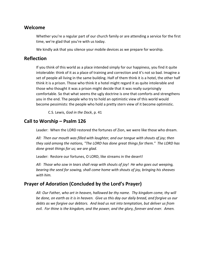## **Welcome**

Whether you're a regular part of our church family or are attending a service for the first time, we're glad that you're with us today.

We kindly ask that you silence your mobile devices as we prepare for worship.

## **Reflection**

If you think of this world as a place intended simply for our happiness, you find it quite intolerable: think of it as a place of training and correction and it's not so bad. Imagine a set of people all living in the same building. Half of them think it is a hotel, the other half think it is a prison. Those who think it a hotel might regard it as quite intolerable and those who thought it was a prison might decide that it was really surprisingly comfortable. So that what seems the ugly doctrine is one that comforts and strengthens you in the end. The people who try to hold an optimistic view of this world would become pessimists: the people who hold a pretty stern view of it become optimistic.

C.S. Lewis, *God in the Dock*, p. 41

## **Call to Worship – Psalm 126**

Leader: When the LORD restored the fortunes of Zion, we were like those who dream.

*All: Then our mouth was filled with laughter, and our tongue with shouts of joy; then they said among the nations, "The LORD has done great things for them." The LORD has done great things for us; we are glad.* 

Leader: Restore our fortunes, O LORD, like streams in the desert!

*All: Those who sow in tears shall reap with shouts of joy! He who goes out weeping, bearing the seed for sowing, shall come home with shouts of joy, bringing his sheaves with him.*

# **Prayer of Adoration (Concluded by the Lord's Prayer)**

*All: Our Father, who art in heaven, hallowed be thy name. Thy kingdom come, thy will be done, on earth as it is in heaven. Give us this day our daily bread, and forgive us our debts as we forgive our debtors. And lead us not into temptation, but deliver us from evil. For thine is the kingdom, and the power, and the glory, forever and ever. Amen.*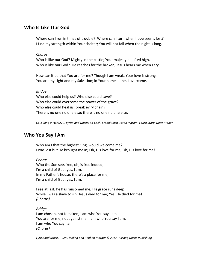## **Who Is Like Our God**

Where can I run in times of trouble? Where can I turn when hope seems lost? I find my strength within Your shelter; You will not fail when the night is long.

#### *Chorus*

Who is like our God? Mighty in the battle; Your majesty be lifted high. Who is like our God? He reaches for the broken; Jesus hears me when I cry.

How can it be that You are for me? Though I am weak, Your love is strong. You are my Light and my Salvation; in Your name alone, I overcome.

#### *Bridge*

Who else could help us? Who else could save? Who else could overcome the power of the grave? Who else could heal us; break ev'ry chain? There is no one no one else; there is no one no one else.

*CCLI Song # 7003272, Lyrics and Music: Ed Cash, Franni Cash, Jason Ingram, Laura Story, Matt Maher*

## **Who You Say I Am**

Who am I that the highest King, would welcome me? I was lost but He brought me in; Oh, His love for me; Oh, His love for me!

#### *Chorus*

Who the Son sets free, oh, is free indeed; I'm a child of God, yes, I am. In my Father's house, there's a place for me; I'm a child of God, yes, I am.

Free at last, he has ransomed me; His grace runs deep. While I was a slave to sin, Jesus died for me; Yes, He died for me! *(Chorus)*

#### *Bridge*

I am chosen, not forsaken; I am who You say I am. You are for me, not against me; I am who You say I am. I am who You say I am. *(Chorus)*

*Lyrics and Music: Ben Fielding and Reuben Morgan© 2017 Hillsong Music Publishing*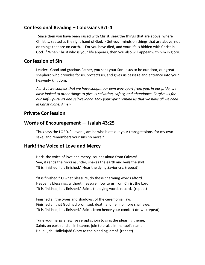# **Confessional Reading – Colossians 3:1-4**

<sup>1</sup> Since then you have been raised with Christ, seek the things that are above, where Christ is, seated at the right hand of God.  $<sup>2</sup>$  Set your minds on things that are above, not</sup> on things that are on earth.  $3$  For you have died, and your life is hidden with Christ in God. <sup>4</sup> When Christ who is your life appears, then you also will appear with him in glory.

# **Confession of Sin**

Leader: Good and gracious Father, you sent your Son Jesus to be our door, our great shepherd who provides for us, protects us, and gives us passage and entrance into your heavenly kingdom.

*All: But we confess that we have sought our own way apart from you. In our pride, we have looked to other things to give us salvation, safety, and abundance. Forgive us for our sinful pursuits and self-reliance. May your Spirit remind us that we have all we need in Christ alone. Amen.*

# **Private Confession**

# **Words of Encouragement — Isaiah 43:25**

Thus says the LORD, "I, even I, am he who blots out your transgressions, for my own sake, and remembers your sins no more."

# **Hark! the Voice of Love and Mercy**

Hark, the voice of love and mercy, sounds aloud from Calvary! See, it rends the rocks asunder, shakes the earth and veils the sky! "It is finished, It is finished," Hear the dying Savior cry. (repeat)

"It is finished," O what pleasure, do these charming words afford. Heavenly blessings, without measure, flow to us from Christ the Lord. "It is finished, it is finished," Saints the dying words record. (repeat)

Finished all the types and shadows, of the ceremonial law; Finished all that God had promised; death and hell no more shall awe. "It is finished, it is finished," Saints from hence your comfort draw. (repeat)

Tune your harps anew, ye seraphs; join to sing the pleasing theme; Saints on earth and all in heaven, join to praise Immanuel's name. Hallelujah! Hallelujah! Glory to the bleeding lamb! (repeat)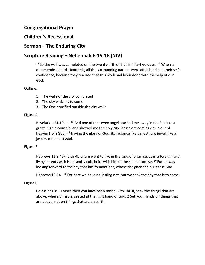# **Congregational Prayer**

# **Children's Recessional**

# **Sermon – The Enduring City**

# **Scripture Reading – Nehemiah 6:15-16 (NIV)**

<sup>15</sup> So the wall was completed on the twenty-fifth of Elul, in fifty-two days. <sup>16</sup> When all our enemies heard about this, all the surrounding nations were afraid and lost their selfconfidence, because they realized that this work had been done with the help of our God.

## Outline:

- 1. The walls of the city completed
- 2. The city which is to come
- 3. The One crucified outside the city walls

## Figure A.

Revelation 21:10-11  $^{10}$  And one of the seven angels carried me away in the Spirit to a great, high mountain, and showed me the holy city Jerusalem coming down out of heaven from God, <sup>11</sup> having the glory of God, its radiance like a most rare jewel, like a jasper, clear as crystal.

## Figure B.

Hebrews 11:9  $9By$  faith Abraham went to live in the land of promise, as in a foreign land, living in tents with Isaac and Jacob, heirs with him of the same promise.  $10$  For he was looking forward to the city that has foundations, whose designer and builder is God.

Hebrews 13:14  $14$  For here we have no lasting city, but we seek the city that is to come.

## Figure C.

Colossians 3:1 1 Since then you have been raised with Christ, seek the things that are above, where Christ is, seated at the right hand of God. 2 Set your minds on things that are above, not on things that are on earth.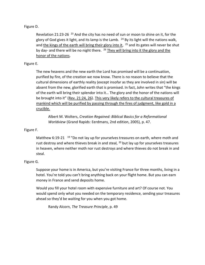#### Figure D.

Revelation 21:23-26  $^{23}$  And the city has no need of sun or moon to shine on it, for the glory of God gives it light, and its lamp is the Lamb.  $^{24}$  By its light will the nations walk, and the kings of the earth will bring their glory into it, <sup>25</sup> and its gates will never be shut by day- and there will be no night there. <sup>26</sup> They will bring into it the glory and the honor of the nations.

#### Figure E.

The new heavens and the new earth the Lord has promised will be a continuation, purified by fire, of the creation we now know. There is no reason to believe that the cultural dimensions of earthly reality (except insofar as they are involved in sin) will be absent from the new, glorified earth that is promised. In fact, John writes that "the kings of the earth will bring their splendor into it… The glory and the honor of the nations will be brought into it" (Rev. 21:24, 26). This very likely refers to the cultural treasures of mankind which will be purified by passing through the fires of judgment, like gold in a crucible.

Albert M. Wolters, *Creation Regained: Biblical Basics for a Reformational Worldview* (Grand Rapids: Eerdmans, 2nd edition, 2005), p. 47.

## Figure F.

Matthew 6:19-21 <sup>19</sup> "Do not lay up for yourselves treasures on earth, where moth and rust destroy and where thieves break in and steal, <sup>20</sup> but lay up for yourselves treasures in heaven, where neither moth nor rust destroys and where thieves do not break in and steal.

#### Figure G.

Suppose your home is in America, but you're visiting France for three months, living in a hotel. You're told you can't bring anything back on your flight home. But you can earn money in France and send deposits home.

Would you fill your hotel room with expensive furniture and art? Of course not. You would spend only what you needed on the temporary residence, sending your treasures ahead so they'd be waiting for you when you got home.

Randy Alcorn, *The Treasure Principle*, p. 49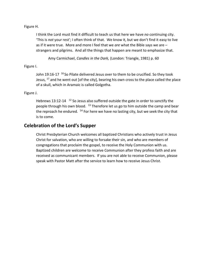#### Figure H.

I think the Lord must find it difficult to teach us that here we have *no* continuing city. 'This is *not* your rest'; I often think of that. We know it, but we don't find it easy to live as if it were true. More and more I feel that we *are* what the Bible says we are – strangers and pilgrims. And all the things that happen are meant to emphasize that.

Amy Carmichael, *Candles in the Dark,* (London: Triangle, 1981) p. 60

#### Figure I.

John 19:16-17  $16$  So Pilate delivered Jesus over to them to be crucified. So they took Jesus,  $17$  and he went out [of the city], bearing his own cross to the place called the place of a skull, which in Aramaic is called Golgotha.

## Figure J.

Hebrews  $13:12$ -14  $12$  So Jesus also suffered outside the gate in order to sanctify the people through his own blood.  $13$  Therefore let us go to him outside the camp and bear the reproach he endured.  $14$  For here we have no lasting city, but we seek the city that is to come.

# **Celebration of the Lord's Supper**

Christ Presbyterian Church welcomes all baptized Christians who actively trust in Jesus Christ for salvation, who are willing to forsake their sin, and who are members of congregations that proclaim the gospel, to receive the Holy Communion with us. Baptized children are welcome to receive Communion after they profess faith and are received as communicant members. If you are not able to receive Communion, please speak with Pastor Matt after the service to learn how to receive Jesus Christ.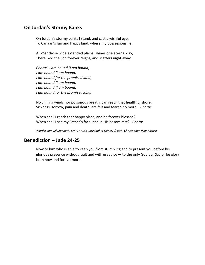## **On Jordan's Stormy Banks**

On Jordan's stormy banks I stand, and cast a wishful eye, To Canaan's fair and happy land, where my possessions lie.

All o'er those wide extended plains, shines one eternal day; There God the Son forever reigns, and scatters night away.

*Chorus: I am bound (I am bound) I am bound (I am bound) I am bound for the promised land, I am bound (I am bound) I am bound (I am bound) I am bound for the promised land.*

No chilling winds nor poisonous breath, can reach that healthful shore; Sickness, sorrow, pain and death, are felt and feared no more. *Chorus*

When shall I reach that happy place, and be forever blessed? When shall I see my Father's face, and in His bosom rest? *Chorus*

*Words: Samuel Stennett, 1787, Music Christopher Miner, ©1997 Christopher Miner Music*

## **Benediction – Jude 24-25**

Now to him who is able to keep you from stumbling and to present you before his glorious presence without fault and with great joy— to the only God our Savior be glory both now and forevermore.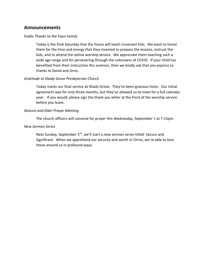## **Announcements**

#### *Public Thanks to the Yoon Family*

Today is the final Saturday that the Yoons will teach Covenant Kids. We want to honor them for the time and energy that they invested to prepare the lessons, instruct the kids, and to attend the online worship service. We appreciate them teaching such a wide age range and for persevering through the unknowns of COVID. If your child has benefited from their instruction this summer, then we kindly ask that you express to thanks to David and Jinny.

#### *Gratitude to Shady Grove Presbyterian Church*

Today marks our final service at Shady Grove. They've been gracious hosts. Our initial agreement was for only three months, but they've allowed us to meet for a full calendar year. If you would, please sign the thank you letter at the front of the worship service before you leave.

#### *Deacon and Elder Prayer Meeting*

The church officers will convene for prayer this Wednesday, September 1 at 7:15pm.

#### *New Sermon Series*

Next Sunday, September 5<sup>th</sup>, we'll start a new sermon series titled: Secure and Significant. When we apprehend our security and worth in Christ, we're able to love those around us in profound ways.